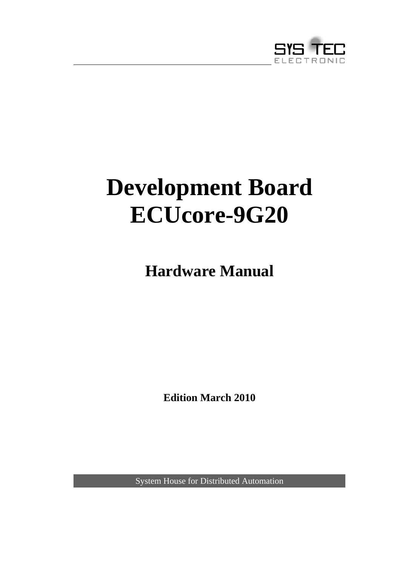

# <span id="page-0-0"></span>**Development Board ECUcore-9G20**

**Hardware Manual** 

**Edition March 2010** 

System House for Distributed Automation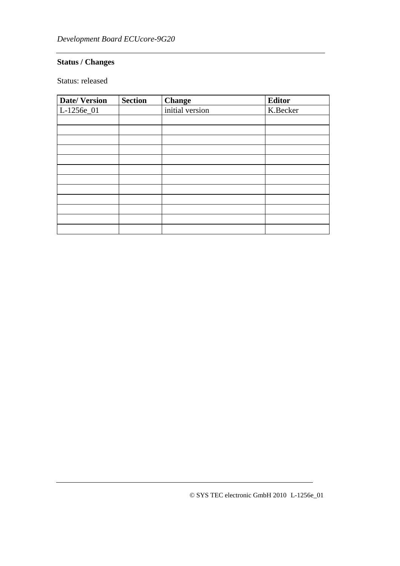#### **Status / Changes**

Status: released

| <b>Date/Version</b>      | <b>Section</b> | <b>Change</b>   | <b>Editor</b> |
|--------------------------|----------------|-----------------|---------------|
| $\overline{L}$ -1256e_01 |                | initial version | K.Becker      |
|                          |                |                 |               |
|                          |                |                 |               |
|                          |                |                 |               |
|                          |                |                 |               |
|                          |                |                 |               |
|                          |                |                 |               |
|                          |                |                 |               |
|                          |                |                 |               |
|                          |                |                 |               |
|                          |                |                 |               |
|                          |                |                 |               |
|                          |                |                 |               |

© SYS TEC electronic GmbH 2010 L-1256e\_01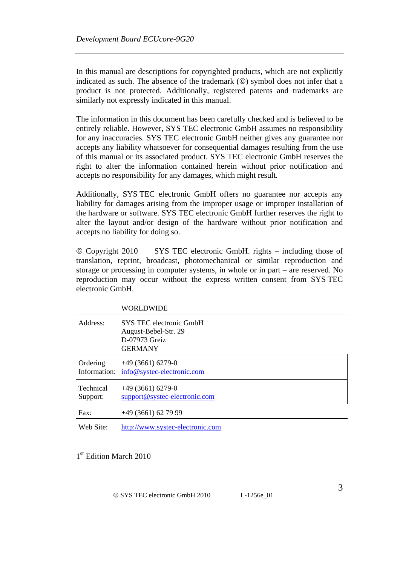In this manual are descriptions for copyrighted products, which are not explicitly indicated as such. The absence of the trademark (©) symbol does not infer that a product is not protected. Additionally, registered patents and trademarks are similarly not expressly indicated in this manual.

The information in this document has been carefully checked and is believed to be entirely reliable. However, SYS TEC electronic GmbH assumes no responsibility for any inaccuracies. SYS TEC electronic GmbH neither gives any guarantee nor accepts any liability whatsoever for consequential damages resulting from the use of this manual or its associated product. SYS TEC electronic GmbH reserves the right to alter the information contained herein without prior notification and accepts no responsibility for any damages, which might result.

Additionally, SYS TEC electronic GmbH offers no guarantee nor accepts any liability for damages arising from the improper usage or improper installation of the hardware or software. SYS TEC electronic GmbH further reserves the right to alter the layout and/or design of the hardware without prior notification and accepts no liability for doing so.

© Copyright 2010 SYS TEC electronic GmbH. rights – including those of translation, reprint, broadcast, photomechanical or similar reproduction and storage or processing in computer systems, in whole or in part – are reserved. No reproduction may occur without the express written consent from SYS TEC electronic GmbH.

|                          | WORLDWIDE                                                                          |
|--------------------------|------------------------------------------------------------------------------------|
| Address:                 | SYS TEC electronic GmbH<br>August-Bebel-Str. 29<br>D-07973 Greiz<br><b>GERMANY</b> |
| Ordering<br>Information: | $+49(3661)6279-0$<br>info@systec-electronic.com                                    |
| Technical<br>Support:    | $+49(3661)6279-0$<br>support@systec-electronic.com                                 |
| Fax:                     | $+49(3661)$ 62 79 99                                                               |
| Web Site:                | http://www.systec-electronic.com                                                   |

1<sup>st</sup> Edition March 2010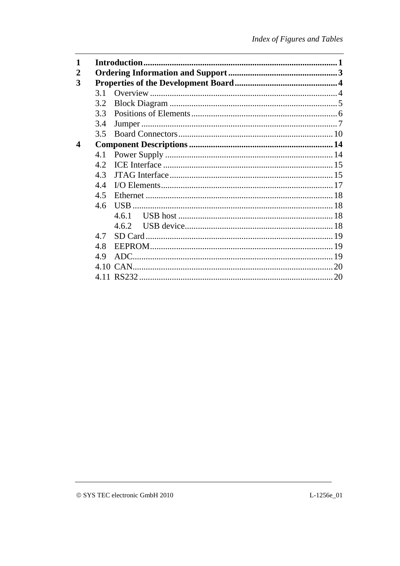| 3 |     |      |  |
|---|-----|------|--|
|   | 31  |      |  |
|   | 3.2 |      |  |
|   | 3.3 |      |  |
|   | 3.4 |      |  |
|   | 3.5 |      |  |
| 4 |     |      |  |
|   | 4.1 |      |  |
|   | 4.2 |      |  |
|   | 4.3 |      |  |
|   | 4.4 |      |  |
|   | 4.5 |      |  |
|   | 4.6 |      |  |
|   |     | 461  |  |
|   |     | 462  |  |
|   | 47  |      |  |
|   | 4.8 |      |  |
|   | 4.9 | ADC. |  |
|   |     |      |  |
|   |     |      |  |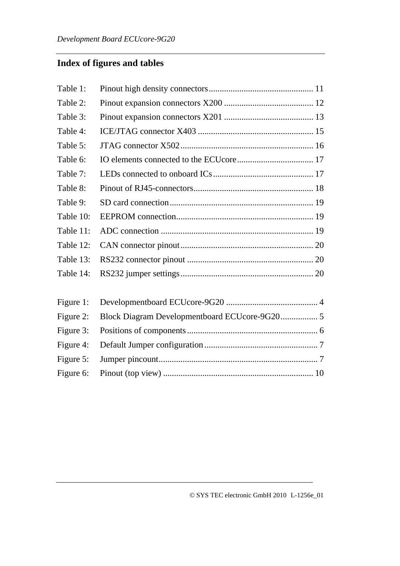# **Index of figures and tables**

| Table 1:  |  |
|-----------|--|
| Table 2:  |  |
| Table 3:  |  |
| Table 4:  |  |
| Table 5:  |  |
| Table 6:  |  |
| Table 7:  |  |
| Table 8:  |  |
| Table 9:  |  |
| Table 10: |  |
| Table 11: |  |
| Table 12: |  |
| Table 13: |  |
| Table 14: |  |
| Figure 1: |  |
|           |  |
| Figure 2: |  |
| Figure 3: |  |
| Figure 4: |  |
| Figure 5: |  |
| Figure 6: |  |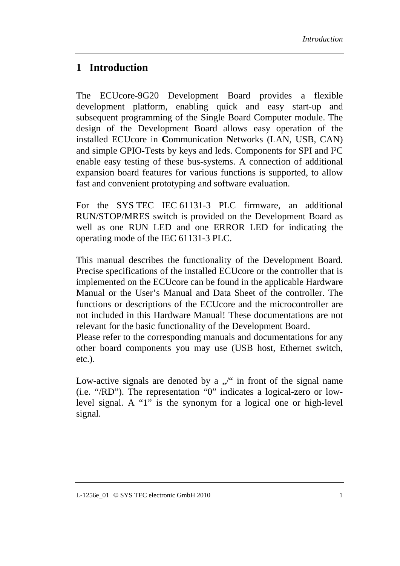## **1 Introduction**

The ECUcore-9G20 Development Board provides a flexible development platform, enabling quick and easy start-up and subsequent programming of the Single Board Computer module. The design of the Development Board allows easy operation of the installed ECUcore in **C**ommunication **N**etworks (LAN, USB, CAN) and simple GPIO-Tests by keys and leds. Components for SPI and I²C enable easy testing of these bus-systems. A connection of additional expansion board features for various functions is supported, to allow fast and convenient prototyping and software evaluation.

For the SYS TEC IEC 61131-3 PLC firmware, an additional RUN/STOP/MRES switch is provided on the Development Board as well as one RUN LED and one ERROR LED for indicating the operating mode of the IEC 61131-3 PLC.

This manual describes the functionality of the Development Board. Precise specifications of the installed ECUcore or the controller that is implemented on the ECUcore can be found in the applicable Hardware Manual or the User's Manual and Data Sheet of the controller. The functions or descriptions of the ECUcore and the microcontroller are not included in this Hardware Manual! These documentations are not relevant for the basic functionality of the Development Board.

Please refer to the corresponding manuals and documentations for any other board components you may use (USB host, Ethernet switch, etc.).

Low-active signals are denoted by a  $\sqrt{ }$  in front of the signal name (i.e. "/RD"). The representation "0" indicates a logical-zero or lowlevel signal. A "1" is the synonym for a logical one or high-level signal.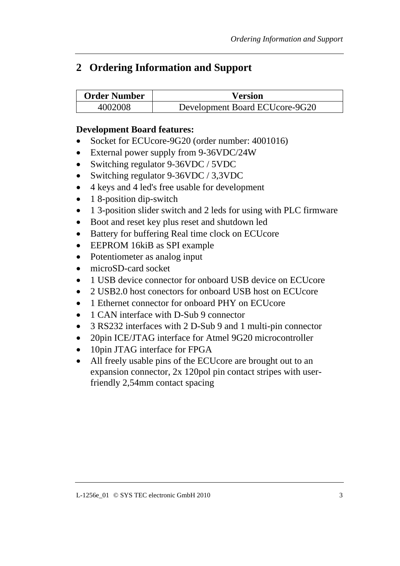# <span id="page-8-0"></span>**2 Ordering Information and Support**

| <b>Order Number</b> | <b>Version</b>                 |
|---------------------|--------------------------------|
| 4002008             | Development Board ECUcore-9G20 |

#### **Development Board features:**

- Socket for ECUcore-9G20 (order number: 4001016)
- External power supply from 9-36VDC/24W
- Switching regulator 9-36VDC / 5VDC
- Switching regulator 9-36VDC / 3,3VDC
- 4 keys and 4 led's free usable for development
- 1 8-position dip-switch
- 1 3-position slider switch and 2 leds for using with PLC firmware
- Boot and reset key plus reset and shutdown led
- Battery for buffering Real time clock on ECUcore
- EEPROM 16kiB as SPI example
- Potentiometer as analog input
- microSD-card socket
- 1 USB device connector for onboard USB device on ECUcore
- 2 USB2.0 host conectors for onboard USB host on ECUcore
- 1 Ethernet connector for onboard PHY on ECU core
- 1 CAN interface with D-Sub 9 connector
- 3 RS232 interfaces with 2 D-Sub 9 and 1 multi-pin connector
- 20pin ICE/JTAG interface for Atmel 9G20 microcontroller
- 10pin JTAG interface for FPGA
- All freely usable pins of the ECU core are brought out to an expansion connector, 2x 120pol pin contact stripes with userfriendly 2,54mm contact spacing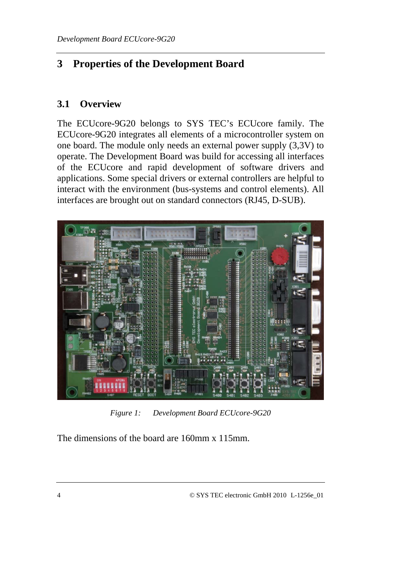# <span id="page-9-0"></span>**3 Properties of the Development Board**

#### **3.1 Overview**

The ECUcore-9G20 belongs to SYS TEC's ECUcore family. The ECUcore-9G20 integrates all elements of a microcontroller system on one board. The module only needs an external power supply (3,3V) to operate. The Development Board was build for accessing all interfaces of the ECUcore and rapid development of software drivers and applications. Some special drivers or external controllers are helpful to interact with the environment (bus-systems and control elements). All interfaces are brought out on standard connectors (RJ45, D-SUB).



*Figure 1: Development Board ECUcore-9G20* 

The dimensions of the board are 160mm x 115mm.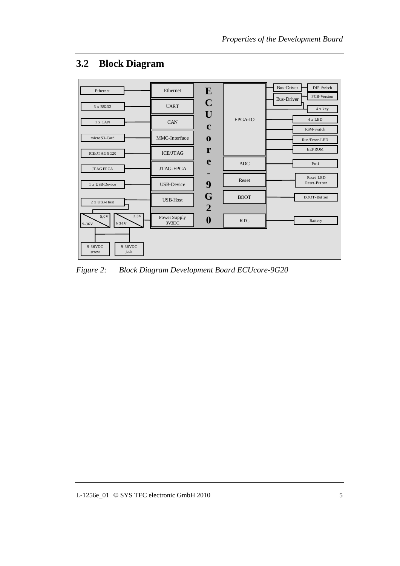

## <span id="page-10-0"></span>**3.2 Block Diagram**

*Figure 2: Block Diagram Development Board ECUcore-9G20*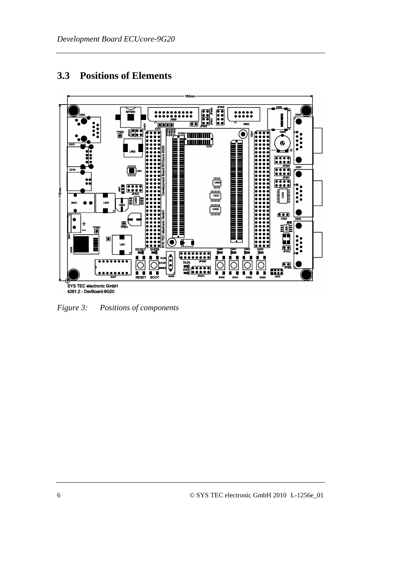# <span id="page-11-0"></span>**3.3 Positions of Elements**



*Figure 3: Positions of components*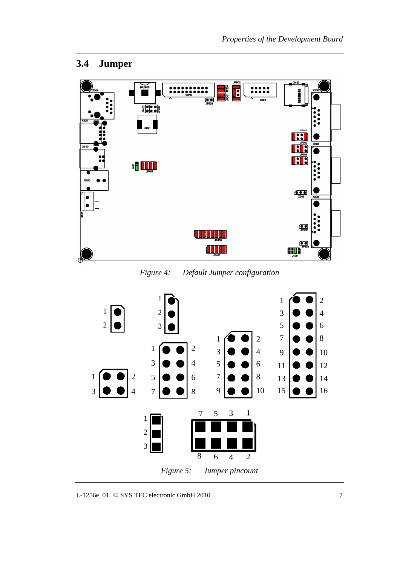## <span id="page-12-0"></span>**3.4 Jumper**



*Figure 4: Default Jumper configuration* 



L-1256e\_01 © SYS TEC electronic GmbH 2010 7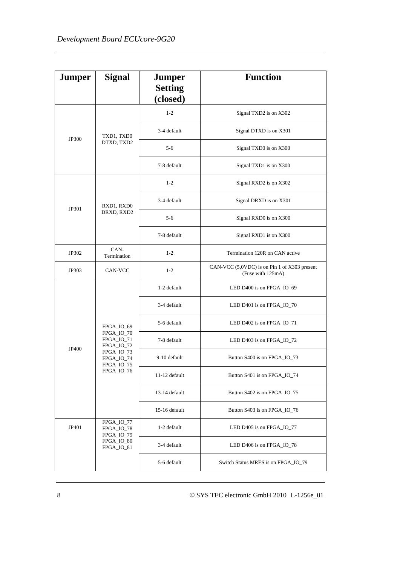| <b>Jumper</b> | <b>Signal</b>                          | <b>Jumper</b><br><b>Setting</b><br>(closed) | <b>Function</b>                                                   |  |
|---------------|----------------------------------------|---------------------------------------------|-------------------------------------------------------------------|--|
|               |                                        | $1 - 2$                                     | Signal TXD2 is on X302                                            |  |
| JP300         | TXD1, TXD0                             | 3-4 default                                 | Signal DTXD is on X301                                            |  |
|               | DTXD, TXD2                             | $5 - 6$                                     | Signal TXD0 is on X300                                            |  |
|               |                                        | 7-8 default                                 | Signal TXD1 is on X300                                            |  |
|               |                                        | $1 - 2$                                     | Signal RXD2 is on X302                                            |  |
| JP301         | RXD1, RXD0                             | 3-4 default                                 | Signal DRXD is on X301                                            |  |
|               | DRXD, RXD2                             | $5 - 6$                                     | Signal RXD0 is on X300                                            |  |
|               |                                        | 7-8 default                                 | Signal RXD1 is on X300                                            |  |
| JP302         | $CAN-$<br>Termination                  | $1 - 2$                                     | Termination 120R on CAN active                                    |  |
| JP303         | CAN-VCC                                | $1 - 2$                                     | CAN-VCC (5,0VDC) is on Pin 1 of X303 present<br>(Fuse with 125mA) |  |
|               |                                        | 1-2 default                                 | LED D400 is on FPGA_IO_69                                         |  |
|               |                                        | 3-4 default                                 | LED D401 is on FPGA_IO_70                                         |  |
|               | FPGA_IO_69                             | 5-6 default                                 | LED D402 is on FPGA_IO_71                                         |  |
| JP400         | FPGA_IO_70<br>FPGA_IO_71<br>FPGA_IO_72 | 7-8 default                                 | LED D403 is on FPGA_IO_72                                         |  |
|               | FPGA_IO_73<br>FPGA_IO_74<br>FPGA_IO_75 | 9-10 default                                | Button S400 is on FPGA_IO_73                                      |  |
|               | FPGA_IO_76                             | 11-12 default                               | Button S401 is on FPGA_IO_74                                      |  |
|               |                                        | 13-14 default                               | Button S402 is on FPGA_IO_75                                      |  |
|               |                                        | 15-16 default                               | Button S403 is on FPGA_IO_76                                      |  |
| JP401         | FPGA_IO_77<br>FPGA_IO_78<br>FPGA_IO_79 | 1-2 default                                 | LED D405 is on FPGA_IO_77                                         |  |
|               | FPGA_IO_80<br>FPGA_IO_81               | 3-4 default                                 | LED D406 is on FPGA_IO_78                                         |  |
|               |                                        | 5-6 default                                 | Switch Status MRES is on FPGA_IO_79                               |  |

8 © SYS TEC electronic GmbH 2010 L-1256e\_01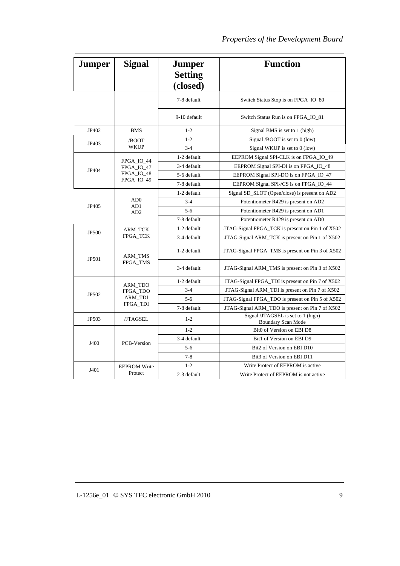| <b>Jumper</b> | <b>Signal</b>              | <b>Jumper</b><br><b>Setting</b><br>(closed) | <b>Function</b>                                          |
|---------------|----------------------------|---------------------------------------------|----------------------------------------------------------|
|               |                            | 7-8 default                                 | Switch Status Stop is on FPGA_IO_80                      |
|               |                            | 9-10 default                                | Switch Status Run is on FPGA_IO_81                       |
| JP402         | <b>BMS</b>                 | $1 - 2$                                     | Signal BMS is set to 1 (high)                            |
| JP403         | /BOOT                      | $1 - 2$                                     | Signal /BOOT is set to $0$ (low)                         |
|               | <b>WKUP</b>                | $3 - 4$                                     | Signal WKUP is set to $0$ (low)                          |
|               | FPGA_IO_44                 | 1-2 default                                 | EEPROM Signal SPI-CLK is on FPGA_IO_49                   |
| JP404         | FPGA_IO_47                 | 3-4 default                                 | EEPROM Signal SPI-DI is on FPGA_IO_48                    |
|               | FPGA_IO_48                 | 5-6 default                                 | EEPROM Signal SPI-DO is on FPGA_IO_47                    |
|               | FPGA_IO_49                 | 7-8 default                                 | EEPROM Signal SPI-/CS is on FPGA_IO_44                   |
|               |                            | 1-2 default                                 | Signal SD_SLOT (Open/close) is present on AD2            |
| JP405         | AD0<br>AD1<br>AD2          | $3 - 4$                                     | Potentiometer R429 is present on AD2                     |
|               |                            | $5 - 6$                                     | Potentiometer R429 is present on AD1                     |
|               |                            | 7-8 default                                 | Potentiometer R429 is present on AD0                     |
| JP500         | <b>ARM_TCK</b>             | 1-2 default                                 | JTAG-Signal FPGA_TCK is present on Pin 1 of X502         |
|               | FPGA_TCK                   | 3-4 default                                 | JTAG-Signal ARM_TCK is present on Pin 1 of X502          |
| JP501         | <b>ARM_TMS</b><br>FPGA_TMS | 1-2 default                                 | JTAG-Signal FPGA_TMS is present on Pin 3 of X502         |
|               |                            | 3-4 default                                 | JTAG-Signal ARM_TMS is present on Pin 3 of X502          |
|               | ARM_TDO                    | 1-2 default                                 | JTAG-Signal FPGA_TDI is present on Pin 7 of X502         |
| JP502         | FPGA_TDO                   | $3 - 4$                                     | JTAG-Signal ARM_TDI is present on Pin 7 of X502          |
|               | <b>ARM TDI</b>             | $5-6$                                       | JTAG-Signal FPGA_TDO is present on Pin 5 of X502         |
|               | <b>FPGA_TDI</b>            | 7-8 default                                 | JTAG-Signal ARM_TDO is present on Pin 7 of X502          |
| JP503         | /JTAGSEL                   | $1 - 2$                                     | Signal /JTAGSEL is set to 1 (high)<br>Boundary Scan Mode |
| J400          |                            | $1 - 2$                                     | Bit0 of Version on EBI D8                                |
|               | <b>PCB-Version</b>         | 3-4 default                                 | Bit1 of Version on EBI D9                                |
|               |                            | $5 - 6$                                     | Bit2 of Version on EBI D10                               |
|               |                            | $7 - 8$                                     | Bit3 of Version on EBI D11                               |
|               | <b>EEPROM Write</b>        | $1 - 2$                                     | Write Protect of EEPROM is active                        |
| J401          | Protect                    | 2-3 default                                 | Write Protect of EEPROM is not active                    |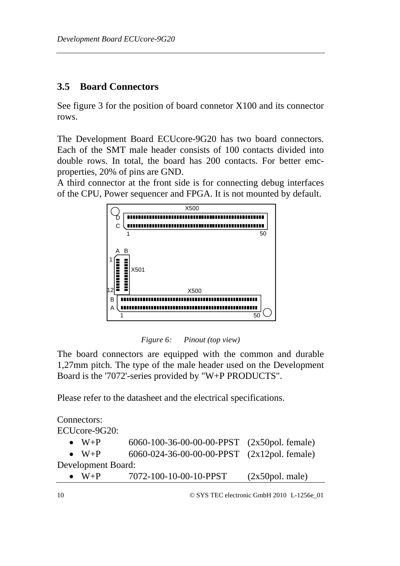#### <span id="page-15-0"></span>**3.5 Board Connectors**

See figure 3 for the position of board connetor X100 and its connector rows.

The Development Board ECUcore-9G20 has two board connectors. Each of the SMT male header consists of 100 contacts divided into double rows. In total, the board has 200 contacts. For better emcproperties, 20% of pins are GND.

A third connector at the front side is for connecting debug interfaces of the CPU, Power sequencer and FPGA. It is not mounted by default.



*Figure 6: Pinout (top view)* 

The board connectors are equipped with the common and durable 1,27mm pitch. The type of the male header used on the Development Board is the '7072'-series provided by "W+P PRODUCTS".

Please refer to the datasheet and the electrical specifications.

Connectors: ECUcore-9G20: • W+P 6060-100-36-00-00-00-PPST (2x50pol. female) •  $W+P$  6060-024-36-00-00-00-PPST (2x12pol. female) Development Board: •  $W+P$  7072-100-10-00-10-PPST (2x50pol. male)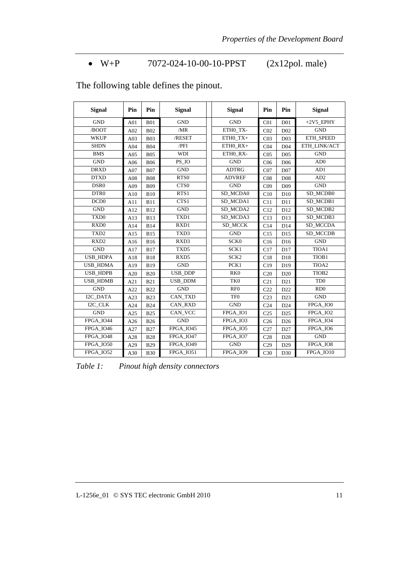#### • W+P 7072-024-10-00-10-PPST (2x12pol. male)

٦

| <b>Signal</b>    | Pin | Pin        | <b>Signal</b>        | <b>Signal</b>    | Pin             | Pin             | <b>Signal</b>     |
|------------------|-----|------------|----------------------|------------------|-----------------|-----------------|-------------------|
| <b>GND</b>       | A01 | <b>B01</b> | <b>GND</b>           | <b>GND</b>       | CO <sub>1</sub> | D <sub>01</sub> | $+2V5$ EPHY       |
| /BOOT            | A02 | <b>B02</b> | /MR                  | ETHO TX-         | CO <sub>2</sub> | D <sub>02</sub> | <b>GND</b>        |
| <b>WKUP</b>      | A03 | <b>B03</b> | /RESET               | ETH0_TX+         | CO <sub>3</sub> | D <sub>03</sub> | ETH_SPEED         |
| <b>SHDN</b>      | A04 | <b>B04</b> | /PFI                 | ETH0_RX+         | CO <sub>4</sub> | D <sub>04</sub> | ETH_LINK/ACT      |
| <b>BMS</b>       | A05 | <b>B05</b> | <b>WDI</b>           | ETHO RX-         | CO <sub>5</sub> | D <sub>05</sub> | <b>GND</b>        |
| <b>GND</b>       | A06 | <b>B06</b> | PS_IO                | <b>GND</b>       | C <sub>06</sub> | D <sub>06</sub> | AD0               |
| <b>DRXD</b>      | A07 | <b>B07</b> | <b>GND</b>           | <b>ADTRG</b>     | CO7             | D <sub>07</sub> | AD1               |
| <b>DTXD</b>      | A08 | <b>B08</b> | RTS <sub>0</sub>     | <b>ADVREF</b>    | CO8             | D <sub>08</sub> | AD2               |
| DSR0             | A09 | <b>B09</b> | CTS0                 | <b>GND</b>       | CO9             | D <sub>09</sub> | <b>GND</b>        |
| DTR <sub>0</sub> | A10 | <b>B10</b> | RTS1                 | SD_MCDA0         | C10             | D10             | SD_MCDB0          |
| DCD <sub>0</sub> | A11 | <b>B11</b> | CTS1                 | SD MCDA1         | C11             | D11             | SD MCDB1          |
| <b>GND</b>       | A12 | <b>B12</b> | $\operatorname{GND}$ | SD_MCDA2         | C12             | D <sub>12</sub> | SD_MCDB2          |
| TXD <sub>0</sub> | A13 | <b>B13</b> | TXD1                 | SD MCDA3         | C13             | D13             | SD_MCDB3          |
| RXD <sub>0</sub> | A14 | <b>B14</b> | RXD1                 | SD MCCK          | C14             | D14             | SD MCCDA          |
| TXD <sub>2</sub> | A15 | <b>B15</b> | TXD3                 | <b>GND</b>       | C15             | D15             | SD_MCCDB          |
| RXD <sub>2</sub> | A16 | <b>B16</b> | RXD3                 | SCK0             | C16             | D <sub>16</sub> | <b>GND</b>        |
| <b>GND</b>       | A17 | <b>B17</b> | TXD5                 | SCK1             | C17             | D17             | TIOA1             |
| <b>USB HDPA</b>  | A18 | <b>B18</b> | RXD5                 | SCK <sub>2</sub> | C18             | D18             | TIOB1             |
| <b>USB_HDMA</b>  | A19 | <b>B19</b> | <b>GND</b>           | PCK1             | C19             | D19             | TIOA2             |
| USB HDPB         | A20 | <b>B20</b> | <b>USB DDP</b>       | RK <sub>0</sub>  | C20             | D20             | TIOB <sub>2</sub> |
| <b>USB_HDMB</b>  | A21 | <b>B21</b> | USB_DDM              | TK0              | C21             | D21             | T <sub>D</sub> 0  |
| <b>GND</b>       | A22 | <b>B22</b> | <b>GND</b>           | RF <sub>0</sub>  | C22             | D <sub>22</sub> | RD0               |
| I2C DATA         | A23 | <b>B23</b> | CAN_TXD              | TF <sub>0</sub>  | C <sub>23</sub> | D23             | <b>GND</b>        |
| I2C CLK          | A24 | <b>B24</b> | <b>CAN RXD</b>       | <b>GND</b>       | C <sub>24</sub> | D <sub>24</sub> | FPGA_IO0          |
| <b>GND</b>       | A25 | <b>B25</b> | CAN VCC              | FPGA_IO1         | C <sub>25</sub> | D <sub>25</sub> | FPGA_IO2          |
| FPGA IO44        | A26 | <b>B26</b> | <b>GND</b>           | FPGA IO3         | C <sub>26</sub> | D <sub>26</sub> | FPGA IO4          |
| FPGA IO46        | A27 | <b>B27</b> | FPGA IO45            | FPGA IO5         | C27             | D <sub>27</sub> | FPGA IO6          |
| FPGA_IO48        | A28 | <b>B28</b> | FPGA_IO47            | FPGA_IO7         | C <sub>28</sub> | D <sub>28</sub> | <b>GND</b>        |
| FPGA_IO50        | A29 | <b>B29</b> | FPGA_IO49            | <b>GND</b>       | C <sub>29</sub> | D <sub>29</sub> | FPGA_IO8          |
| FPGA_IO52        | A30 | <b>B30</b> | FPGA IO51            | FPGA_IO9         | C <sub>30</sub> | D30             | FPGA IO10         |

The following table defines the pinout.

*Table 1: Pinout high density connectors*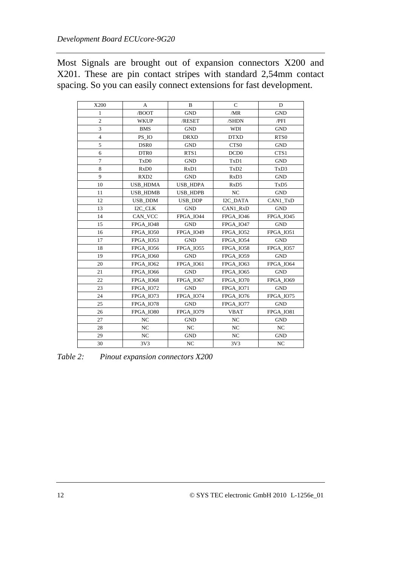<span id="page-17-0"></span>Most Signals are brought out of expansion connectors X200 and X201. These are pin contact stripes with standard 2,54mm contact spacing. So you can easily connect extensions for fast development.

| X200           | A                             | B                             | $\mathbf C$                   | D                             |
|----------------|-------------------------------|-------------------------------|-------------------------------|-------------------------------|
| 1              | /BOOT                         | <b>GND</b>                    | /MR                           | <b>GND</b>                    |
| $\overline{c}$ | <b>WKUP</b>                   | /SHDN<br>/RESET               |                               | $/$ PFI                       |
| 3              | <b>BMS</b>                    | <b>GND</b>                    | <b>WDI</b>                    | <b>GND</b>                    |
| $\overline{4}$ | PS IO                         | <b>DRXD</b>                   | <b>DTXD</b>                   | RTS <sub>0</sub>              |
| 5              | DSR <sub>0</sub>              | <b>GND</b>                    | CTS <sub>0</sub>              | <b>GND</b>                    |
| 6              | DTR <sub>0</sub>              | RTS1                          | DCD <sub>0</sub>              | CTS1                          |
| $\overline{7}$ | T <sub>x</sub> D <sub>0</sub> | <b>GND</b>                    | TxD1                          | <b>GND</b>                    |
| 8              | RxD0                          | R <sub>x</sub> D <sub>1</sub> | TxD2                          | TxD3                          |
| 9              | RXD <sub>2</sub>              | <b>GND</b>                    | RxD3                          | <b>GND</b>                    |
| 10             | <b>USB_HDMA</b>               | <b>USB_HDPA</b>               | R <sub>x</sub> D <sub>5</sub> | T <sub>x</sub> D <sub>5</sub> |
| 11             | <b>USB HDMB</b>               | <b>USB HDPB</b>               | NC                            | <b>GND</b>                    |
| 12             | USB DDM                       | <b>USB DDP</b>                | I2C DATA                      | CAN1_TxD                      |
| 13             | I2C CLK                       | <b>GND</b>                    | CAN1 RxD                      | <b>GND</b>                    |
| 14             | CAN VCC                       | FPGA IO44                     | FPGA IO46                     | FPGA IO45                     |
| 15             | FPGA IO48                     | <b>GND</b>                    | FPGA IO47                     | <b>GND</b>                    |
| 16             | FPGA_IO50                     | FPGA_IO49                     | FPGA_IO52                     | FPGA_IO51                     |
| 17             | <b>FPGA IO53</b>              | <b>GND</b>                    | FPGA IO54                     | <b>GND</b>                    |
| 18             | <b>FPGA IO56</b>              | <b>FPGA IO55</b>              | FPGA IO58                     | FPGA IO57                     |
| 19             | FPGA IO60                     | <b>GND</b>                    | FPGA IO59                     | <b>GND</b>                    |
| 20             | FPGA IO62                     | FPGA IO61                     | FPGA IO63                     | FPGA IO64                     |
| 21             | FPGA IO66                     | <b>GND</b>                    | FPGA_IO65                     | <b>GND</b>                    |
| 22             | FPGA IO68                     | FPGA IO67                     | FPGA IO70                     | <b>FPGA IO69</b>              |
| 23             | FPGA IO72                     | <b>GND</b>                    | FPGA IO71                     | <b>GND</b>                    |
| 24             | FPGA_IO73                     | FPGA IO74                     | FPGA IO76                     | FPGA_IO75                     |
| 25             | FPGA_IO78                     | <b>GND</b>                    | FPGA_IO77                     | <b>GND</b>                    |
| 26             | FPGA IO80                     | FPGA_IO79                     | <b>VBAT</b>                   | FPGA IO81                     |
| 27             | NC                            | <b>GND</b>                    | NC                            | <b>GND</b>                    |
| 28             | NC                            | NC                            | $_{\mathrm{NC}}$              | NC                            |
| 29             | NC                            | <b>GND</b>                    | NC                            | <b>GND</b>                    |
| 30             | 3V3                           | NC                            | 3V3                           | NC                            |

*Table 2: Pinout expansion connectors X200*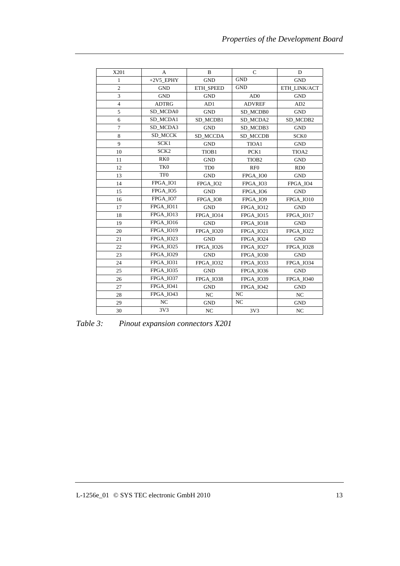<span id="page-18-0"></span>

| X201           | A                | B                           | $\mathcal{C}$     | D                |
|----------------|------------------|-----------------------------|-------------------|------------------|
| 1              | $+2V5$ _EPHY     | <b>GND</b>                  | <b>GND</b>        | <b>GND</b>       |
| $\overline{2}$ | <b>GND</b>       | ETH SPEED                   | <b>GND</b>        | ETH LINK/ACT     |
| 3              | <b>GND</b>       | <b>GND</b>                  | AD0               | <b>GND</b>       |
| $\overline{4}$ | <b>ADTRG</b>     | AD1                         | <b>ADVREF</b>     | AD <sub>2</sub>  |
| 5              | SD MCDA0         | <b>GND</b>                  | SD_MCDB0          | <b>GND</b>       |
| 6              | SD_MCDA1         | SD MCDB1                    | SD MCDA2          | SD MCDB2         |
| 7              | SD MCDA3         | <b>GND</b>                  | SD MCDB3          | <b>GND</b>       |
| 8              | SD MCCK          | SD MCCDA                    | SD MCCDB          | SCK <sub>0</sub> |
| $\mathbf{Q}$   | SCK1             | <b>GND</b>                  | TIOA1             | <b>GND</b>       |
| 10             | SCK <sub>2</sub> | TIOB1                       | PCK1              | TIOA2            |
| 11             | RK <sub>0</sub>  | <b>GND</b>                  | TIOB <sub>2</sub> | <b>GND</b>       |
| 12             | TK <sub>0</sub>  | T <sub>D</sub> <sub>0</sub> | RF0               | RD0              |
| 13             | TF <sub>0</sub>  | <b>GND</b>                  | FPGA IO0          | <b>GND</b>       |
| 14             | FPGA_IO1         | FPGA IO2                    | FPGA IO3          | FPGA IO4         |
| 15             | FPGA IO5         | <b>GND</b>                  | FPGA IO6          | <b>GND</b>       |
| 16             | FPGA_IO7         | FPGA IO8                    | FPGA IO9          | FPGA IO10        |
| 17             | FPGA IO11        | <b>GND</b>                  | FPGA IO12         | <b>GND</b>       |
| 18             | FPGA IO13        | FPGA IO14                   | FPGA_IO15         | FPGA IO17        |
| 19             | FPGA IO16        | <b>GND</b>                  | FPGA_IO18         | <b>GND</b>       |
| 20             | FPGA IO19        | FPGA IO20                   | <b>FPGA IO21</b>  | FPGA IO22        |
| 21             | <b>FPGA IO23</b> | <b>GND</b>                  | FPGA IO24         | <b>GND</b>       |
| 22             | FPGA IO25        | <b>FPGA IO26</b>            | FPGA IO27         | FPGA IO28        |
| 23             | <b>FPGA IO29</b> | <b>GND</b>                  | FPGA IO30         | <b>GND</b>       |
| 24             | FPGA IO31        | FPGA_IO32                   | FPGA_IO33         | FPGA_IO34        |
| 25             | FPGA_IO35        | <b>GND</b>                  | <b>FPGA IO36</b>  | <b>GND</b>       |
| 26             | <b>FPGA IO37</b> | FPGA IO38                   | <b>FPGA IO39</b>  | FPGA IO40        |
| 27             | FPGA IO41        | <b>GND</b>                  | FPGA IO42         | <b>GND</b>       |
| 28             | FPGA IO43        | NC                          | NC                | NC               |
| 29             | NC               | <b>GND</b>                  | NC                | <b>GND</b>       |
| 30             | 3V3              | NC                          | 3V3               | N <sub>C</sub>   |

*Table 3: Pinout expansion connectors X201*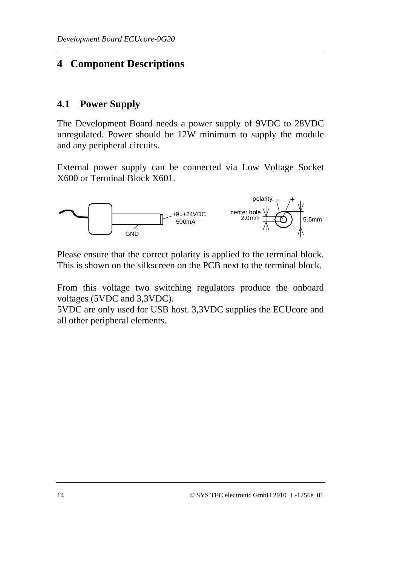## <span id="page-19-0"></span>**4 Component Descriptions**

#### **4.1 Power Supply**

The Development Board needs a power supply of 9VDC to 28VDC unregulated. Power should be 12W minimum to supply the module and any peripheral circuits.

External power supply can be connected via Low Voltage Socket X600 or Terminal Block X601.



Please ensure that the correct polarity is applied to the terminal block. This is shown on the silkscreen on the PCB next to the terminal block.

From this voltage two switching regulators produce the onboard voltages (5VDC and 3,3VDC).

5VDC are only used for USB host. 3,3VDC supplies the ECUcore and all other peripheral elements.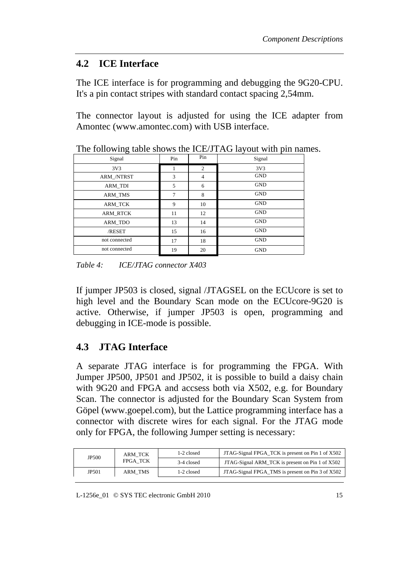#### <span id="page-20-0"></span>**4.2 ICE Interface**

The ICE interface is for programming and debugging the 9G20-CPU. It's a pin contact stripes with standard contact spacing 2,54mm.

The connector layout is adjusted for using the ICE adapter from Amontec (www.amontec.com) with USB interface.

| Signal          | Pin | Pin | Signal     |
|-----------------|-----|-----|------------|
| 3V3             |     | 2   | 3V3        |
| ARM /NTRST      | 3   | 4   | <b>GND</b> |
| <b>ARM_TDI</b>  | 5   | 6   | <b>GND</b> |
| <b>ARM TMS</b>  | 7   | 8   | <b>GND</b> |
| ARM TCK         | 9   | 10  | <b>GND</b> |
| <b>ARM RTCK</b> | 11  | 12  | <b>GND</b> |
| ARM_TDO         | 13  | 14  | <b>GND</b> |
| /RESET          | 15  | 16  | <b>GND</b> |
| not connected   | 17  | 18  | <b>GND</b> |
| not connected   | 19  | 20  | <b>GND</b> |

The following table shows the ICE/JTAG layout with pin names.

*Table 4: ICE/JTAG connector X403* 

If jumper JP503 is closed, signal /JTAGSEL on the ECUcore is set to high level and the Boundary Scan mode on the ECUcore-9G20 is active. Otherwise, if jumper JP503 is open, programming and debugging in ICE-mode is possible.

## **4.3 JTAG Interface**

A separate JTAG interface is for programming the FPGA. With Jumper JP500, JP501 and JP502, it is possible to build a daisy chain with 9G20 and FPGA and accsess both via X502, e.g. for Boundary Scan. The connector is adjusted for the Boundary Scan System from Göpel (www.goepel.com), but the Lattice programming interface has a connector with discrete wires for each signal. For the JTAG mode only for FPGA, the following Jumper setting is necessary:

| JP500 | <b>ARM TCK</b> | JTAG-Signal FPGA_TCK is present on Pin 1 of X502<br>1-2 closed |                                                  |  |
|-------|----------------|----------------------------------------------------------------|--------------------------------------------------|--|
|       | FPGA TCK       | 3-4 closed                                                     | JTAG-Signal ARM_TCK is present on Pin 1 of X502  |  |
| JP501 | ARM TMS        | 1-2 closed                                                     | JTAG-Signal FPGA_TMS is present on Pin 3 of X502 |  |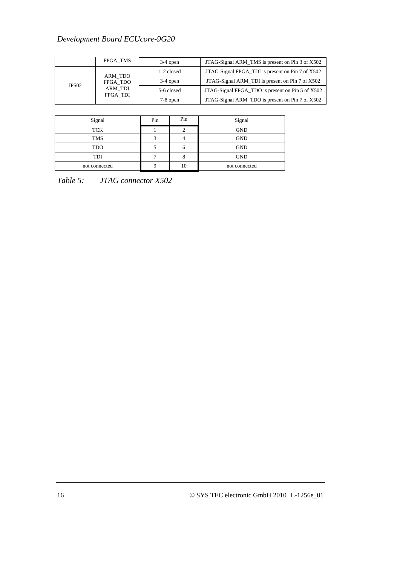#### <span id="page-21-0"></span>*Development Board ECUcore-9G20*

|       | FPGA TMS                                   | $3-4$ open | JTAG-Signal ARM_TMS is present on Pin 3 of X502  |  |
|-------|--------------------------------------------|------------|--------------------------------------------------|--|
| JP502 | ARM TDO<br>FPGA TDO<br>ARM TDI<br>FPGA TDI | 1-2 closed | JTAG-Signal FPGA_TDI is present on Pin 7 of X502 |  |
|       |                                            | $3-4$ open | JTAG-Signal ARM_TDI is present on Pin 7 of X502  |  |
|       |                                            | 5-6 closed | JTAG-Signal FPGA_TDO is present on Pin 5 of X502 |  |
|       |                                            | $7-8$ open | JTAG-Signal ARM_TDO is present on Pin 7 of X502  |  |

| Signal        | Pin | Pin          | Signal        |
|---------------|-----|--------------|---------------|
| TCK           |     |              | <b>GND</b>    |
| <b>TMS</b>    | 2   |              | <b>GND</b>    |
| <b>TDO</b>    |     | <sub>0</sub> | <b>GND</b>    |
| TDI           | ⇁   |              | <b>GND</b>    |
| not connected |     | 10           | not connected |

*Table 5: JTAG connector X502*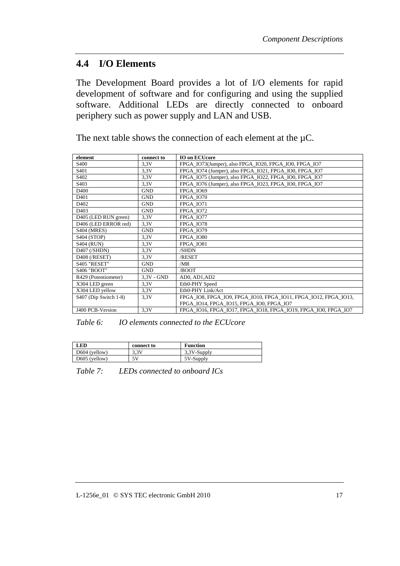#### <span id="page-22-0"></span>**4.4 I/O Elements**

The Development Board provides a lot of I/O elements for rapid development of software and for configuring and using the supplied software. Additional LEDs are directly connected to onboard periphery such as power supply and LAN and USB.

The next table shows the connection of each element at the  $\mu$ C.

| element               | connect to   | <b>IO on ECUcore</b>                                            |
|-----------------------|--------------|-----------------------------------------------------------------|
| S <sub>400</sub>      | 3.3V         | FPGA_IO73(Jumper), also FPGA_IO20, FPGA_IO0, FPGA_IO7           |
| S <sub>401</sub>      | 3.3V         | FPGA IO74 (Jumper), also FPGA IO21, FPGA IO0, FPGA IO7          |
| S <sub>402</sub>      | 3.3V         | FPGA_IO75 (Jumper), also FPGA_IO22, FPGA_IO0, FPGA_IO7          |
| S <sub>403</sub>      | 3.3V         | FPGA_IO76 (Jumper), also FPGA_IO23, FPGA_IO0, FPGA_IO7          |
| D <sub>400</sub>      | <b>GND</b>   | <b>FPGA 1069</b>                                                |
| D <sub>401</sub>      | <b>GND</b>   | FPGA IO70                                                       |
| D <sub>402</sub>      | <b>GND</b>   | <b>FPGA IO71</b>                                                |
| D <sub>403</sub>      | <b>GND</b>   | FPGA IO72                                                       |
| D405 (LED RUN green)  | 3.3V         | FPGA IO77                                                       |
| D406 (LED ERROR red)  | 3.3V         | FPGA IO78                                                       |
| <b>S404 (MRES)</b>    | <b>GND</b>   | FPGA IO79                                                       |
| S404 (STOP)           | 3,3V         | FPGA IO80                                                       |
| <b>S404 (RUN)</b>     | 3.3V         | FPGA IO81                                                       |
| $D407$ (/SHDN)        | 3.3V         | /SHDN                                                           |
| D408 (/RESET)         | 3.3V         | /RESET                                                          |
| S405 "RESET"          | <b>GND</b>   | /MR                                                             |
| <b>S406 "BOOT"</b>    | <b>GND</b>   | /BOOT                                                           |
| R429 (Potentiometer)  | $3.3V - GND$ | AD0, AD1, AD2                                                   |
| X304 LED green        | 3.3V         | Eth0-PHY Speed                                                  |
| X304 LED yellow       | 3.3V         | Eth0-PHY Link/Act                                               |
| S407 (Dip Switch 1-8) | 3.3V         | FPGA IO8, FPGA IO9, FPGA IO10, FPGA IO11, FPGA IO12, FPGA IO13, |
|                       |              | FPGA IO14, FPGA IO15, FPGA IO0, FPGA IO7                        |
| J400 PCB-Version      | 3.3V         | FPGA IO16, FPGA IO17, FPGA IO18, FPGA IO19, FPGA IO0, FPGA IO7  |

*Table 6: IO elements connected to the ECUcore* 

| <b>LED</b>      | connect to | <b>Function</b> |
|-----------------|------------|-----------------|
| $D604$ (yellow) | 3.3V       | 3.3V-Supply     |
| $D605$ (yellow) | 5 V        | 5V-Supply       |

*Table 7: LEDs connected to onboard ICs*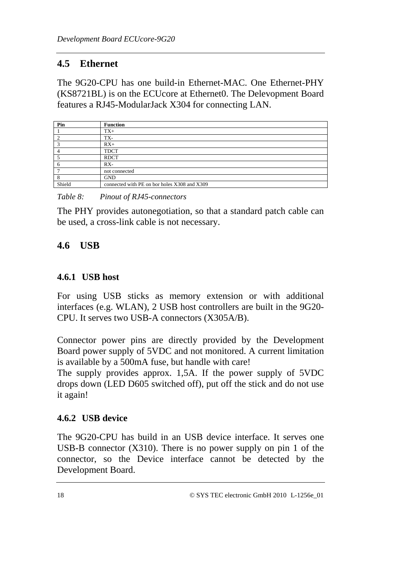#### <span id="page-23-0"></span>**4.5 Ethernet**

The 9G20-CPU has one build-in Ethernet-MAC. One Ethernet-PHY (KS8721BL) is on the ECUcore at Ethernet0. The Delevopment Board features a RJ45-ModularJack X304 for connecting LAN.

| Pin     | <b>Function</b>                              |
|---------|----------------------------------------------|
|         | $TX+$                                        |
|         | TX-                                          |
|         | $RX+$                                        |
|         | <b>TDCT</b>                                  |
|         | <b>RDCT</b>                                  |
| $\circ$ | $RX-$                                        |
|         | not connected                                |
| 8       | <b>GND</b>                                   |
| Shield  | connected with PE on bor holes X308 and X309 |

*Table 8: Pinout of RJ45-connectors* 

The PHY provides autonegotiation, so that a standard patch cable can be used, a cross-link cable is not necessary.

## **4.6 USB**

#### **4.6.1 USB host**

For using USB sticks as memory extension or with additional interfaces (e.g. WLAN), 2 USB host controllers are built in the 9G20- CPU. It serves two USB-A connectors (X305A/B).

Connector power pins are directly provided by the Development Board power supply of 5VDC and not monitored. A current limitation is available by a 500mA fuse, but handle with care!

The supply provides approx. 1,5A. If the power supply of 5VDC drops down (LED D605 switched off), put off the stick and do not use it again!

#### **4.6.2 USB device**

The 9G20-CPU has build in an USB device interface. It serves one USB-B connector (X310). There is no power supply on pin 1 of the connector, so the Device interface cannot be detected by the Development Board.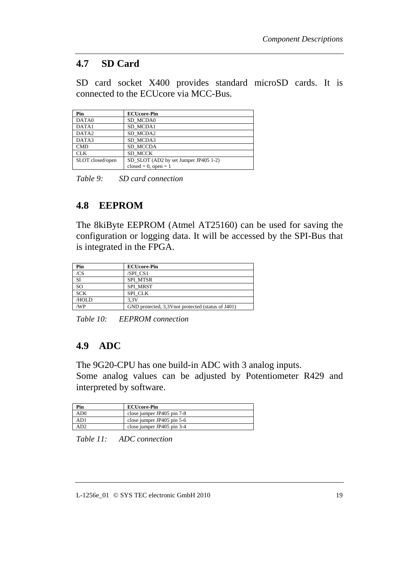#### <span id="page-24-0"></span>**4.7 SD Card**

SD card socket X400 provides standard microSD cards. It is connected to the ECUcore via MCC-Bus.

| Pin               | <b>ECUcore-Pin</b>                    |  |
|-------------------|---------------------------------------|--|
| DATA0             | SD MCDA0                              |  |
| DATA1             | SD MCDA1                              |  |
| DATA <sub>2</sub> | SD MCDA2                              |  |
| DATA3             | SD MCDA3                              |  |
| <b>CMD</b>        | SD MCCDA                              |  |
| <b>CLK</b>        | SD MCCK                               |  |
| SLOT closed/open  | SD_SLOT (AD2 by set Jumper JP405 1-2) |  |
|                   | $closed = 0, open = 1$                |  |

*Table 9: SD card connection* 

## **4.8 EEPROM**

The 8kiByte EEPROM (Atmel AT25160) can be used for saving the configuration or logging data. It will be accessed by the SPI-Bus that is integrated in the FPGA.

| Pin           | <b>ECUcore-Pin</b>                                 |
|---------------|----------------------------------------------------|
| /CS           | /SPI CS1                                           |
| <b>SI</b>     | <b>SPI MTSR</b>                                    |
| <sub>SO</sub> | <b>SPI MRST</b>                                    |
| <b>SCK</b>    | SPI CLK                                            |
| /HOLD         | 3.3V                                               |
| /WP           | GND protected, 3,3V not protected (status of J401) |

*Table 10: EEPROM connection* 

## **4.9 ADC**

The 9G20-CPU has one build-in ADC with 3 analog inputs. Some analog values can be adjusted by Potentiometer R429 and interpreted by software.

| Pin | <b>ECUcore-Pin</b>         |
|-----|----------------------------|
| AD0 | close jumper JP405 pin 7-8 |
| AD1 | close jumper JP405 pin 5-6 |
|     | close jumper JP405 pin 3-4 |

*Table 11: ADC connection*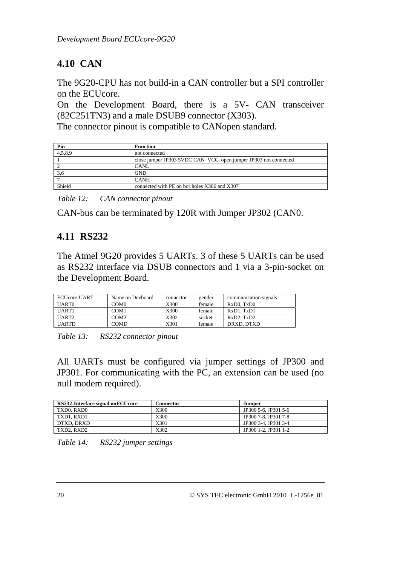## <span id="page-25-0"></span>**4.10 CAN**

The 9G20-CPU has not build-in a CAN controller but a SPI controller on the ECUcore.

On the Development Board, there is a 5V- CAN transceiver (82C251TN3) and a male DSUB9 connector (X303).

The connector pinout is compatible to CANopen standard.

| Pin     | <b>Function</b>                                                  |
|---------|------------------------------------------------------------------|
| 4,5,8,9 | not connected                                                    |
|         | close jumper JP303 5VDC CAN_VCC, open jumper JP303 not connected |
|         | <b>CANL</b>                                                      |
| 3.6     | <b>GND</b>                                                       |
|         | <b>CANH</b>                                                      |
| Shield  | connected with PE on bor holes X306 and X307                     |

*Table 12: CAN connector pinout* 

CAN-bus can be terminated by 120R with Jumper JP302 (CAN0.

## **4.11 RS232**

The Atmel 9G20 provides 5 UARTs. 3 of these 5 UARTs can be used as RS232 interface via DSUB connectors and 1 via a 3-pin-socket on the Development Board.

| ECUcore-UART | Name on Devboard | connector | gender | communication signals |
|--------------|------------------|-----------|--------|-----------------------|
| UART0        | COM <sub>0</sub> | X300      | female | RxD0. TxD0            |
| UART1        | COM1             | X300      | female | RxD1, TxD1            |
| UART2        | COM <sub>2</sub> | X302      | socket | RxD2. TxD2            |
| <b>UARTD</b> | <b>COMD</b>      | X301      | female | DRXD, DTXD            |

*Table 13: RS232 connector pinout* 

All UARTs must be configured via jumper settings of JP300 and JP301. For communicating with the PC, an extension can be used (no null modem required).

| RS232-Interface signal onECUcore | <b>Connector</b> | Jumper               |
|----------------------------------|------------------|----------------------|
| TXD0. RXD0                       | X300             | JP300 5-6, JP301 5-6 |
| TXD1. RXD1                       | X300             | JP300 7-8, JP301 7-8 |
| DTXD. DRXD                       | X301             | JP300 3-4, JP301 3-4 |
| TXD2. RXD2                       | X302             | JP300 1-2, JP301 1-2 |

*Table 14: RS232 jumper settings*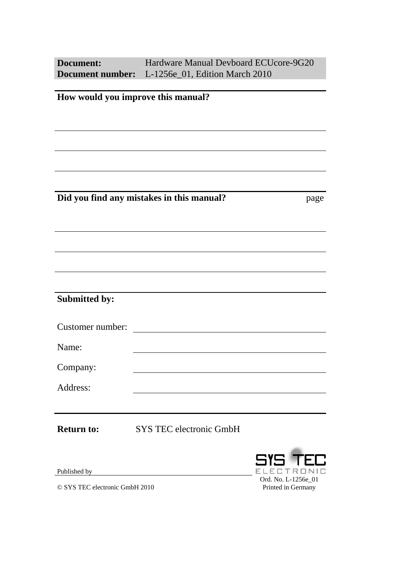| <b>Document:</b>     | Hardware Manual Devboard ECUcore-9G20<br>Document number: L-1256e_01, Edition March 2010 |                           |
|----------------------|------------------------------------------------------------------------------------------|---------------------------|
|                      | How would you improve this manual?                                                       |                           |
|                      |                                                                                          |                           |
|                      |                                                                                          |                           |
|                      |                                                                                          |                           |
|                      |                                                                                          |                           |
|                      | Did you find any mistakes in this manual?                                                | page                      |
|                      |                                                                                          |                           |
|                      |                                                                                          |                           |
|                      |                                                                                          |                           |
|                      |                                                                                          |                           |
|                      |                                                                                          |                           |
| <b>Submitted by:</b> |                                                                                          |                           |
| Customer number:     |                                                                                          |                           |
| Name:                |                                                                                          |                           |
| Company:             |                                                                                          |                           |
| Address:             |                                                                                          |                           |
|                      |                                                                                          |                           |
| <b>Return to:</b>    | <b>SYS TEC electronic GmbH</b>                                                           |                           |
|                      |                                                                                          |                           |
| Published by         |                                                                                          | <b>SYS TE</b><br>ELECTRON |

© SYS TEC electronic GmbH 2010

 $\begin{array}{c}\n\text{ELEETRONIC}\n\text{Ord. No. L-1256e_01}\n\end{array}$ Printed in Germany